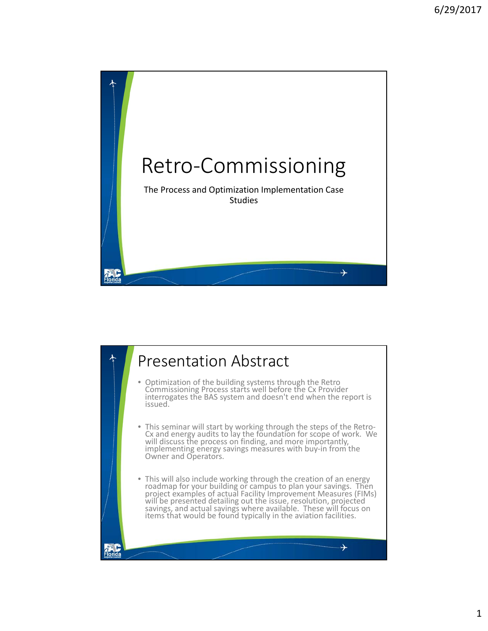

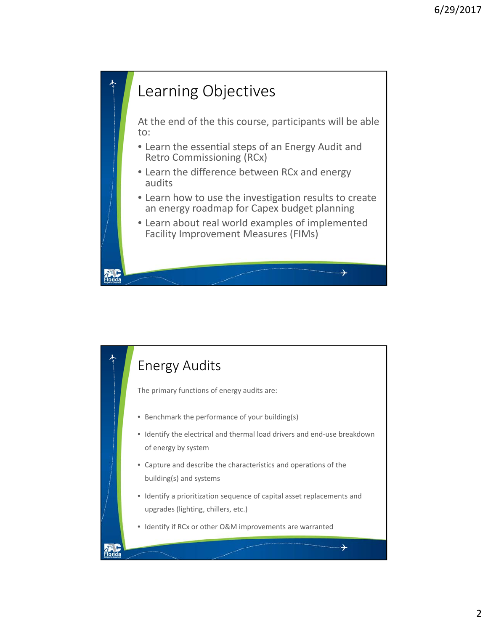

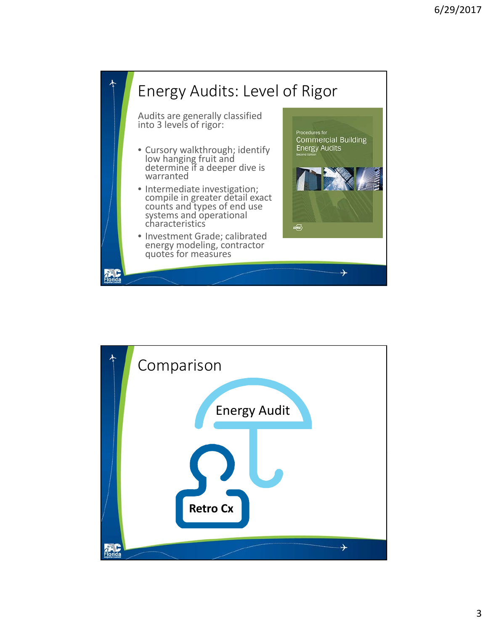

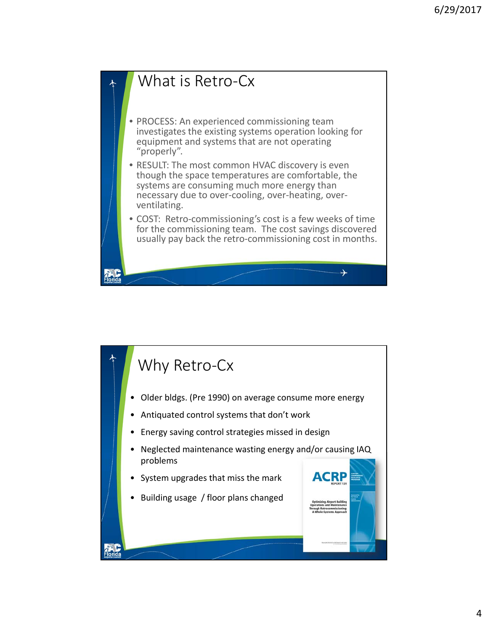

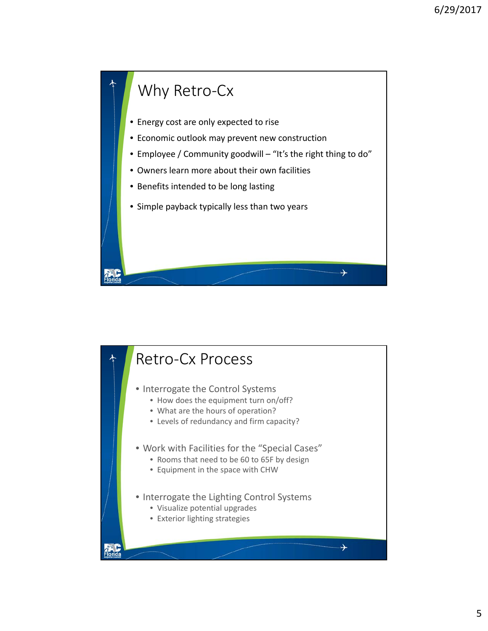

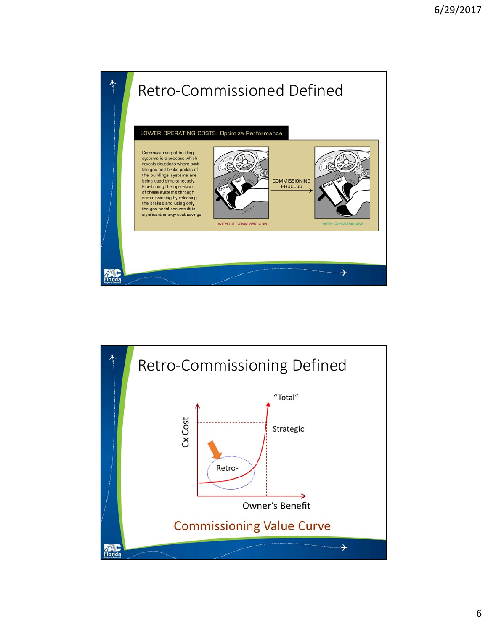

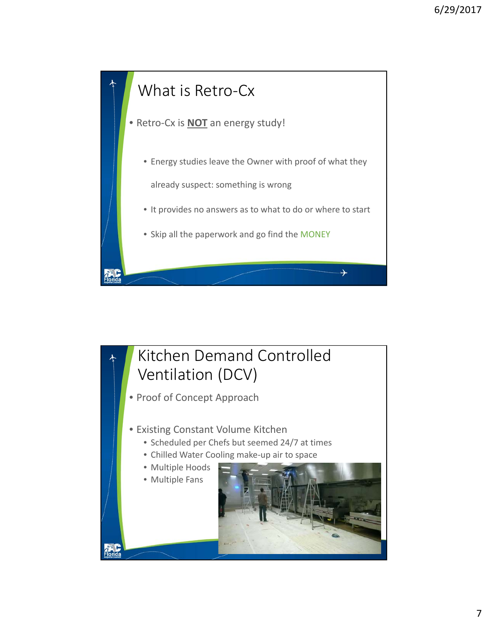

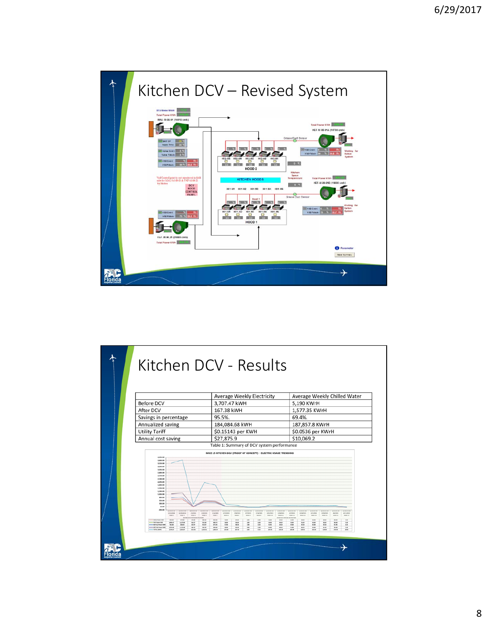

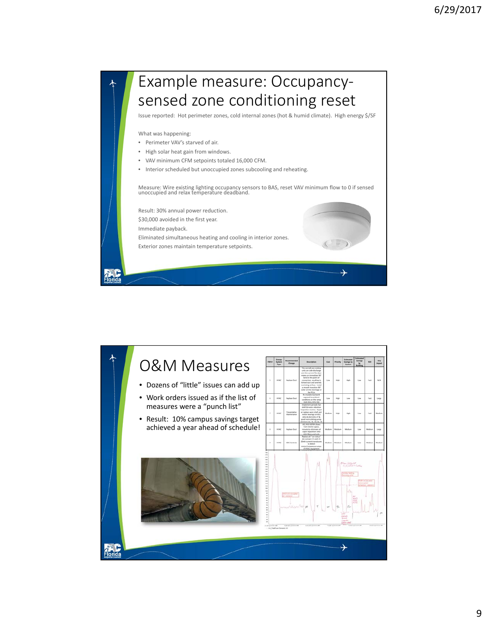

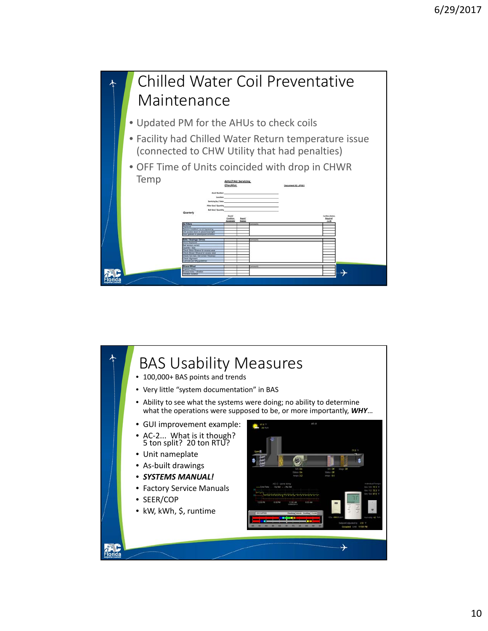

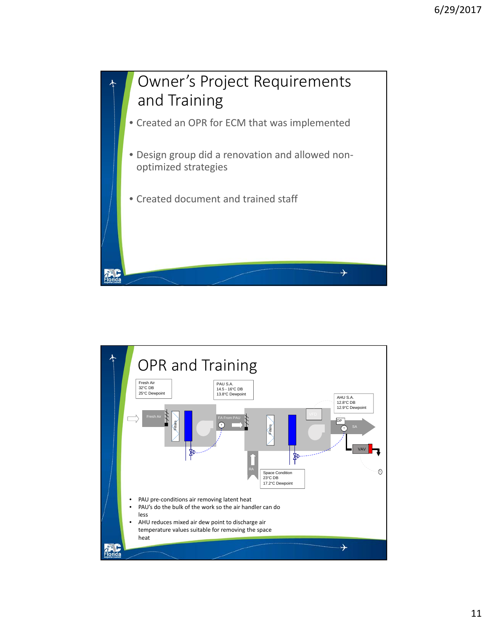